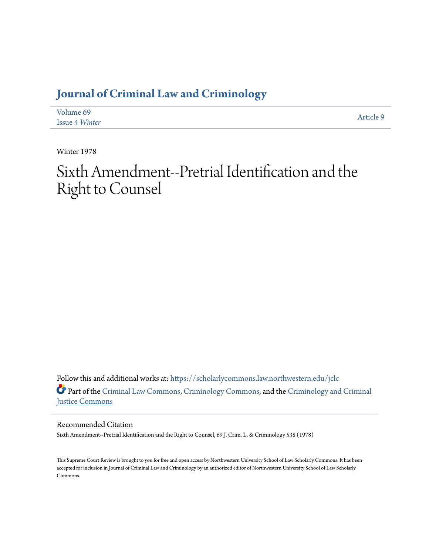## **[Journal of Criminal Law and Criminology](https://scholarlycommons.law.northwestern.edu/jclc?utm_source=scholarlycommons.law.northwestern.edu%2Fjclc%2Fvol69%2Fiss4%2F9&utm_medium=PDF&utm_campaign=PDFCoverPages)**

| Volume 69             | Article 9 |
|-----------------------|-----------|
| <b>Issue 4 Winter</b> |           |

Winter 1978

## Sixth Amendment--Pretrial Identification and the Right to Counsel

Follow this and additional works at: [https://scholarlycommons.law.northwestern.edu/jclc](https://scholarlycommons.law.northwestern.edu/jclc?utm_source=scholarlycommons.law.northwestern.edu%2Fjclc%2Fvol69%2Fiss4%2F9&utm_medium=PDF&utm_campaign=PDFCoverPages) Part of the [Criminal Law Commons](http://network.bepress.com/hgg/discipline/912?utm_source=scholarlycommons.law.northwestern.edu%2Fjclc%2Fvol69%2Fiss4%2F9&utm_medium=PDF&utm_campaign=PDFCoverPages), [Criminology Commons](http://network.bepress.com/hgg/discipline/417?utm_source=scholarlycommons.law.northwestern.edu%2Fjclc%2Fvol69%2Fiss4%2F9&utm_medium=PDF&utm_campaign=PDFCoverPages), and the [Criminology and Criminal](http://network.bepress.com/hgg/discipline/367?utm_source=scholarlycommons.law.northwestern.edu%2Fjclc%2Fvol69%2Fiss4%2F9&utm_medium=PDF&utm_campaign=PDFCoverPages) [Justice Commons](http://network.bepress.com/hgg/discipline/367?utm_source=scholarlycommons.law.northwestern.edu%2Fjclc%2Fvol69%2Fiss4%2F9&utm_medium=PDF&utm_campaign=PDFCoverPages)

Recommended Citation

Sixth Amendment--Pretrial Identification and the Right to Counsel, 69 J. Crim. L. & Criminology 538 (1978)

This Supreme Court Review is brought to you for free and open access by Northwestern University School of Law Scholarly Commons. It has been accepted for inclusion in Journal of Criminal Law and Criminology by an authorized editor of Northwestern University School of Law Scholarly Commons.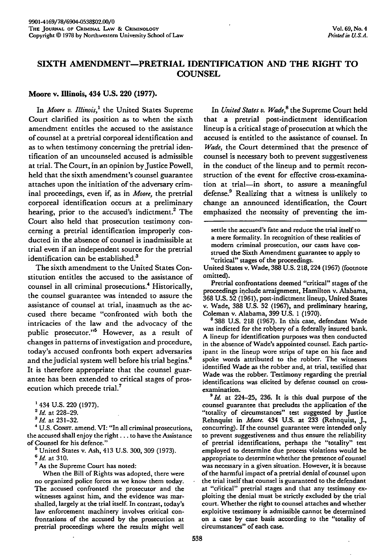## **SIXTH AMENDMENT-PRETRIAL IDENTIFICATION AND THE RIGHT TO COUNSEL**

## **Moore v. Illinois,** 434 **U.S. 220 (1977).**

In *Moore v. Illinois,'* the United States Supreme Court clarified its position as to when the sixth amendment entitles the accused to the assistance of counsel at a pretrial corporeal identification and as to when testimony concerning the pretrial identification of an uncounseled accused is admissible at trial. The Court, in an opinion by Justice Powell, held that the sixth amendment's counsel guarantee attaches upon the initiation of the adversary criminal proceedings, even if, as in *Moore,* the pretrial corporeal identification occurs at a preliminary hearing, prior to the accused's indictment.<sup>2</sup> The Court also held that prosecution testimony concerning a pretrial identification improperly conducted in the absence of counsel is inadmissible at trial even if an independent source for the pretrial identification can be established.<sup>3</sup>

The sixth amendment to the United States Constitution entitles the accused to the assistance of counsel in all criminal prosecutions.<sup>4</sup> Historically, the counsel guarantee was intended to assure the assistance of counsel at trial, inasmuch as the accused there became "confronted with both the intricacies of the law and the advocacy of the public prosecutor."5 However, as a result of changes in patterns of investigation and procedure, today's accused confronts both expert adversaries and the judicial system well before his trial begins.<sup>6</sup> It is therefore appropriate that the counsel guarantee has been extended to critical stages of prosecution which precede trial.<sup>7</sup>

**"** U.S. CONsr. amend. VI: "In all criminal prosecutions, the accused shall enjoy the right **...** to have the Assistance of Counsel for his defence."

**<sup>5</sup>**United States v. Ash, 413 U.S. 300, 309 (1973). *<sup>6</sup> id.* at 310.

**<sup>7</sup>**As the Supreme Court has noted:

When the Bill of Rights was adopted, there were no organized police forces as we know them today. The accused confronted the prosecutor and the witnesses against him, and the evidence was marshalled, largely at the trial itself. In contrast, today's law enforcement machinery involves critical confrontations of the accused **by** the prosecution at pretrial proceedings where the results might well

In *United States v. Wade*,<sup>8</sup> the Supreme Court held that a pretrial post-indictment identification lineup is a critical stage of prosecution at which the accused is entitled to the assistance of counsel. In *Wade,* the Court determined that the presence of counsel is necessary both to prevent suggestiveness in the conduct of the lineup and to permit reconstruction of the event for effective cross-examination at trial-in short, to assure a meaningful defense? Realizing that a witness is unlikely to change an announced identification, the Court emphasized the necessity of preventing the im-

settle the accused's fate and reduce the trial itself to a mere formality. In recognition of these realities of modem criminal prosecution, our cases have construed the Sixth Amendment guarantee to apply to "critical" stages of the proceedings.

United States v. Wade, **388 U.S.** 218,224 **(1967)** (footnote omitted).

Pretrial confrontations deemed "critical" stages of the proceedings include arraignment, Hamilton v. Alabama, **368 U.S. 52 (1961),** post-indictment lineup, United States v. Wade, **388 U.S. 52 (1967),** and preliminary hearing, Coleman v. Alabama, **399 U.S. 1 (1970).**

**8** 388 **U.S. 218 (1967).** In this case, defendant Wade was indicted for the robbery of a federally insured bank. **A** lineup for identification purposes was then conducted in the absence of Wade's appointed counsel. Each participant in the lineup wore strips of tape on his face and spoke words attributed to the robber. The witnesses identified Wade as the robber and, at trial, testified that Wade was the robber. Testimony regarding the pretrial identifications was elicited **by** defense counsel on cross-

examination. *<sup>9</sup> id.* at 224-25, **236.** It is this dual purpose of the counsel guarantee that precludes the application of the "totality of circumstances" test suggested **by** Justice Rehnquist in *Moore.* 434 **U.S.** at **233** (Rehnquist, **J.,** concurring). If the counsel guarantee were intended only to prevent suggestiveness and thus ensure the reliability of pretrial identifications, perhaps the "totality" test employed to determine due process violations would be appropriate to determine whether the presence of counsel was necessary in a given situation. However, it is because of the harmful impact of a pretrial denial of counsel upon the trial itself that counsel is guaranteed to the defendant at "citical" pretrial stages and that any testimony ex- ploiting the denial must **be** strictly excluded **by** the trial court. Whether the right to counsel attaches and whether exploitive testimony is admissible cannot be determined on a case **by** case basis according to the "totality of circumstances" of each case.

<sup>434</sup> U.S. 220 (1977). *<sup>2</sup> Id.* at 228-29. *<sup>3</sup>***Id.** at **231-32.**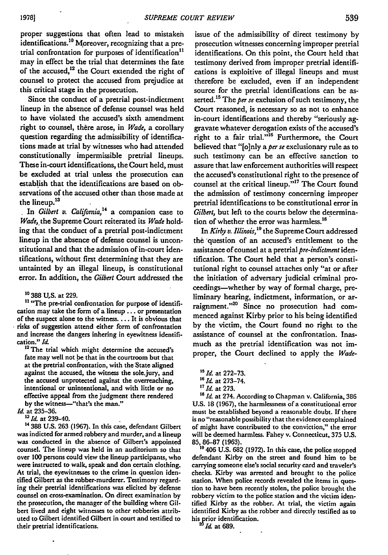proper suggestions that often lead to mistaken identifications.<sup>10</sup> Moreover, recognizing that a pretrial confrontation for purposes of identification" may in effect be the trial that determines the fate of the accused,<sup>12</sup> the Court extended the right of counsel to protect the accused from prejudice at this critical stage in the prosecution.

Since the conduct of a pretrial post-indictment lineup in the absence of defense counsel was held to have violated the accused's sixth amendment right to counsel, there arose, in *Wade*, a corollary question regarding the admissibility of identifications made at trial by witnesses who had attended constitutionally impermissible pretrial lineups. These in-court identifications, the Court held, must be excluded at trial unless the prosecution can establish that the identifications are based on observations of the accused other than those made at the lineup.<sup>13</sup>

In *Gilbert v. Califomia,'4* a companion case to *Wade,* the Supreme Court reiterated its *Wade* holding that the conduct of a pretrial post-indictment lineup in the absence of defense counsel is unconstitutional and that the admission of in-court identifications, without first determining that they are untainted **by** an illegal lineup, is constitutional error. In addition, the *Gilbert* Court addressed the

**0** 388 **U.S.** at **229.**

<sup>11</sup> "The pre-trial confrontation for purpose of identification may take the form of a lineup **...** or presentation of the suspect alone to the witness .... It is obvious that risks of suggestion attend either form of confrontation and increase the dangers inhering in eyewitness identification." *Id*

<sup>12</sup> The trial which might determine the accused's fate may well not be that in the courtroom but that at the pretrial confrontation, with the State aligned against the accused, the witness the sole.jury, and the accused unprotected against the overreaching, intentional or unintentional, and with little or no effective appeal from the judgment there rendered by the witness-"that's the man."

*Id.* at 235-36.<br><sup>13</sup> *Id.* at 239-40.

14 **388 U.S. 263 (1967).** In this case, defendant Gilbert was indicted for armed robbery and murder, and a lineup was conducted in the absence of Gilbert's appointed counsel. The lineup was held in an auditorium so that over **100** persons could view the lineup participants, who were instructed to walk, speak and don certain clothing. At trial, the eyewitnesses to the crime in question identified Gilbert as the robber-murderer. Testimony regarding their pretrial identifications was elicited by defense counsel on cross-examination. On direct examination **by** the prosecution, the manager of the building where Gilbert lived and eight witnesses to other robberies attributed to Gilbert identified Gilbert in court and testified to their pretrial identifications.

issue of the admissibility of direct testimony by prosecution witnesses concerning improper pretrial identifications. On this point, the Court held that testimony derived from improper pretrial identifications is exploitive of illegal lineups and must therefore be excluded, even if an independent source for the pretrial identifications can be asserted.<sup>15</sup> The *per se* exclusion of such testimony, the Court reasoned, is necessary so as not to enhance in-court identifications and thereby "seriously aggravate whatever derogation exists of the accused's right to a fair trial."<sup>16</sup> Furthermore, the Court believed that "[o]nly a *per se* exclusionary rule as to such testimony can be an effective sanction to assure that law enforcement authorities will respect the accused's constitutional right to the presence of counsel at the critical lineup."<sup>17</sup> The Court found the admission of testimony concerning improper pretrial identifications to be constitutional error in *Gilbert,* but left to the courts below the determination of whether the error was harmless.<sup>18</sup>

In *Kirby v. Illinois,"9* the Supreme Court addressed **the** 'question of an accused's entitlement to the assistance of counsel at a pretrial *pre-indictment* identification. The Court held that a person's constitutional right to counsel attaches only "at or after the initiation of adversary judicial criminal proceedings-whether **by** way of formal charge, preliminary hearing, indictment, information, or arraignment."<sup>20</sup> Since no prosecution had commenced against Kirby prior to his being identified **by** the victim, the Court found no right to the assistance of counsel at the confrontation. Inasmuch as the pretrial identification was not improper, the Court declined to apply the *Wade-*

17 *Id.* at 273.<br><sup>18</sup> *Id.* at 274. According to Chapman v. California, 386 **U.S. 18 (1967),** the harmlessness of a constitutional error must be established beyond a reasonable doubt. **If** there is no "reasonable possibility that the evidence complained of might have contributed to the conviction," the error will be deemed harmless. Fahey v. Connecticut, **375 U.S. 85, 86-87 (1963).**

**is** 406 **U.S. 682 (1972).** In this case, the police stopped defendant Kirby on the street and found him to be carrying someone else's social security card and traveler's checks. Kirby was arrested and brought to the police station. When police records revealed the items in question to have been recently stolen, the police brought the robbery victim to the police station and the victim identified Kirby as the robber. At trial, the victim again identified Kirby as the robber and directly testified as to his prior identification.

*Id.* at **689.**

*<sup>&</sup>quot;s* **Id.** at **272-73.** *'*

*<sup>6</sup> 1d.* at **273-74.**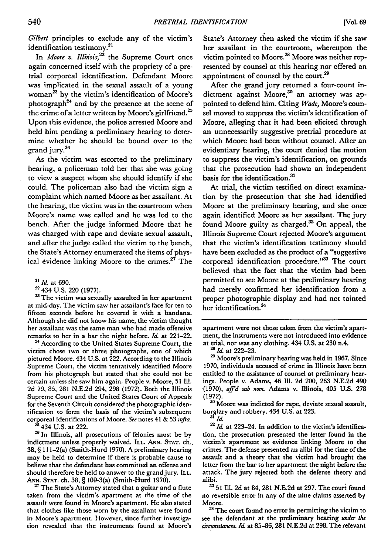*Gilbert* principles to exclude any of the victim's onter principles to exercidentification testimony.<sup>2</sup>

In *Moore v. Illinois*,<sup>22</sup> the Supreme Court once again concerned itself with the propriety of a pretrial corporeal identification. Defendant Moore was implicated in the sexual assault of a young woman<sup>23</sup> by the victim's identification of Moore's photograph<sup>24</sup> and by the presence at the scene of the crime of a letter written **by** Moore's girlfriend.25 Upon this evidence, the police arrested Moore and held him pending a preliminary hearing to determine whether he should be bound over to the grand jury.<sup>26</sup>

As the victim was escorted to the preliminary hearing, a policeman told her that she was going to view a suspect whom she should identify if she could. The policeman also had the victim sign a complaint which named Moore as her assailant. At the hearing, the victim was in the courtroom when Moore's name was called and he was led to the bench. After the judge informed Moore that he was charged with rape and deviate sexual assault, and after the judge called the victim to the bench, the State's Attorney enumerated the items of physical evidence linking Moore to the crimes. $27$  The

**23** The victim was sexually assaulted in her apartment at mid-day. The victim saw her assailant's face for ten to fifteen seconds before he covered it with a bandana. Although she did not know his name, the victim thought her assailant was the same man who had made offensive remarks to her in a bar the night before. *Id.* at 221-22.

**<sup>24</sup>**According to the United States Supreme Court, the victim chose two or three photographs, one of which pictured Moore. 434 **U.S.** at 222. According to the Illinois Supreme Court, the victim tentatively identified Moore from his photograph but stated that she could not be certain unless she saw him again. People v. Moore, **51 Ill. 2d 79, 85, 281 N.E.2d** 294, **298 (1972).** Both the Illinois Supreme Court and the United States Court of Appeals for the Seventh Circuit considered the photographic identification to form the basis of the victim's subsequent cororeal identifications of Moore. *See* notes 41 & **53** *infra.*

<sup>25</sup> 434 U.S. at 222.

**<sup>26</sup>**In Illinois, all prosecutions of felonies must be by indictment unless properly waived. ILL. **ANN. STAT.** ch.. 38, § 11 1-2(a) (Smith-Hurd 1970). A preliminary hearing may be held to determine if there is probable cause to believe that the defendant has committed an offense and should therefore be held to answer to the grand jury. ILL. **ANN. STAT.** ch. 38, § 109-3(a) (Smith-Hurd 1970).

<sup>27</sup> The State's Attorney stated that a guitar and a flute taken from the victim's apartment at the time of the assault were found in Moore's apartment. He also stated that clothes like those worn by the assailant were found in Moore's apartment. However, since further investigation revealed that the instruments found at Moore's State's Attorney then asked the victim if she saw her assailant in the courtroom, whereupon the victim pointed to Moore.<sup>28</sup> Moore was neither represented **by** counsel at this hearing nor offered an appointment of counsel **by** the court.29

After the grand jury returned a four-count indictment against Moore,<sup>30</sup> an attorney was appointed to defend him. Citing *Wade,* Moore's counsel moved to suppress the victim's identification of Moore, alleging that it had been elicited through an unnecessarily suggestive pretrial procedure at which Moore had been without counsel. After an evidentiary hearing, the court denied the motion to suppress the victim's identification, on grounds that the prosecution had shown an independent basis for the identification.<sup>31</sup>

At trial, the victim testified on direct examination **by** the prosecution that she had identified Moore at the preliminary hearing, and she once again identified Moore as her assailant. The jury found Moore guilty as charged.32 On appeal, the Illinois Supreme Court rejected Moore's argument that the victim's identification testimony should have been excluded as the product of a "suggestive corporeal identification procedure."<sup>33</sup> The court believed that the fact that the victim had been permitted to see Moore at the preliminary hearing had merely confirmed her identification from a proper photographic display and had not tainted her **identification.3**

**3o** Moore was indicted for rape, deviate sexual assault, burglary and robbery. 434 **U.S.** at **223.** *<sup>31</sup>Id.*

<sup>32</sup> *Id.* at 223-24. In addition to the victim's identification, the prosecution presented the letter found in the victim's apartment as evidence linking Moore to the crimes. The defense presented an alibi for the time of the assault and a theory that the victim had brought the letter from the bar to her apartment the night before the attack. The jury rejected both the defense theory and alibi.

**33 51111. 2d** at 84, **281 N.E.2d** at **297.** The court found no reversible error in any of the nine claims asserted **by** Moore.

**3'** The court found no error in permitting the victim to see the defendant at the preliminary hearing *under* **the** *drcumstances. Id* at 85-86, **281 N.E.2d** at **298.** The relevant

<sup>21</sup> *Id.* at 690.

<sup>22 434</sup> U.S. 220 (1977).

apartment were not those taken from the victim's apartment, the instruments were not introduced into evidence at trial, nor was any clothing. 434 **U.S.** at **230** n.4.

<sup>&</sup>lt;sup>28</sup> *Id.* at 222-23.

**<sup>2</sup>** Moore's preliminary hearing was held in **1967.** Since **1970,** individuals accused of crime in Illinois have been entitled to the assistance of counsel at preliminary hearings. People v. Adams, 46 **11. 2d** 200, **263 N.E.2d** 490 **-(1970),** *aff'd sub* nora. Adams v. Illinois, 405 **U.S. 278 (1972).**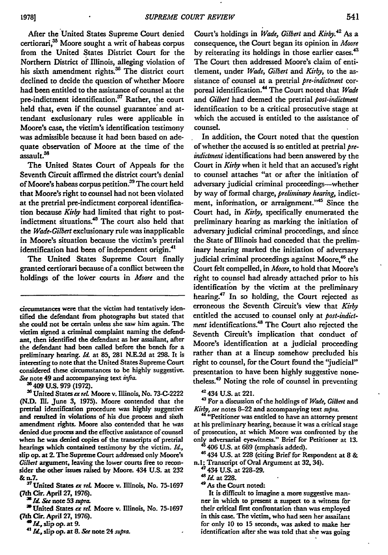After the United States Supreme Court denied certiorari,<sup>35</sup> Moore sought a writ of habeas corpus from the United States District Court for the Northern District of Illinois, alleging violation of his sixth amendment rights. $36$  The district court declined to decide the question of whether Moore had been entitled to the assistance of counsel at the pre-indictment identification.<sup>37</sup> Rather, the court held that, even if the counsel guarantee and attendant exclusionary rules were applicable in Moore's case, the victim's identification testimony was admissible because it had been based on adequate observation of Moore at the time of the assault.?8

The United States Court of Appeals for the Seventh Circuit affirmed the district court's denial of Moore's habeas corpus petition.<sup>39</sup> The court held that Moore's right to counsel had not been violated at the pretrial pre-indictment corporeal identification because *Kirby* had limited that right to postindictment situations.<sup>40</sup> The court also held that the *Wade-Gilbert* exclusionary rule was inapplicable in Moore's situation because the victim's pretrial identification had been of independent origin.<sup>41</sup>

The United States Supreme Court finally granted certiorari because of a conflict between the holdings of the lower courts in *Moore* and the

"409 **US. 979 (1972).**

United States *ex rel* Moore v. Illinois, No. **73-C-2222 (N.D. Ill.** June **3, 1975).** Moore contended that the pretrial identification procedure was **highly** suggestive and resulted in violations of his due process and sixth amendment rights. Moore also contended that he was denied due process and the effective assistance of counsel when he was denied copies of the transcripts of pretrial hearings which contained testimony **by** the victim. **I.,** slip op. at 2. The Supreme Court addressed only Moore's *Gilbert* argument, leaving the lower courts free to reconsider the other issues raised **by** Moore. 434 **U.S.** at **232** *&* n.7.

**' <sup>7</sup>**United States *ex reL* Moore v. Illinois, No. **75-1697 (7th** Cir. April **27, 1976).**

*Id See* note **53** *spra.*

<sup>29</sup> United States ex rel. Moore v. Illinois, No. 75-1697 **(th** Cir. April **27, 1976).**

*1,* slip op. at **9.**

**<sup>4</sup>***rd* slip op. **at 8.** *See* note 24 *supra.*

Court's holdings in *Wade, Gilbert* and *Kirby.42* As a consequence, the Court began its opinion in *Moore* by reiterating its holdings in those earlier cases.<sup>43</sup> The Court then addressed Moore's claim of entitlement, under *Wade, Gilbert and Kirby,* to the assistance of counsel at a pretrial *pre-indictment* corporeal identification.<sup>44</sup> The Court noted that *Wade and Gilbert* had deemed the pretrial *post-indictment* identification to be a critical prosecutive stage at which the accused is entitled to the assistance of counsel.

In addition, the Court noted that the question of whether the accused is so entitled at pretrial *preindictment* identifications had been answered **by** the Court in *Kirby* when it **held** that an accused's right to counsel attaches "at or after the initiation of adversary judicial criminal proceedings-whether **by** way of formal charge, *preliminary hearing,* indictment, information, or arraignment."<sup>45</sup> Since the Court had, in *Kirby,* specifically enumerated the preliminary hearing as marking the initiation of adversary judicial criminal proceedings, and since the State of Illinois had conceded that the preliminary hearing marked the initiation of adversary judicial criminal proceedings against Moore,<sup>46</sup> the Court felt compelled, in *Moore,* to hold that Moore's right to counsel had already attached prior to his identification **by** the victim at the preliminary hearing.<sup>47</sup> In so holding, the Court rejected as erroneous the Seventh Circuit's view that *Kirby* entitled the accused to counsel only at *post-indictment* identifications.48 The Court also rejected the Seventh Circuit's implication that conduct of Moore's identification at a judicial proceeding rather than at a lineup somehow precluded his right to counsel, for the Court found the 'judicial" presentation to have been **highly** suggestive nonetheless.49 Noting the role of counsel in preventing

**42434 U.S.** at **221.**

*'3* For a discussion of the holdings of *Wade, Gilbert* and *Kirby, see* notes **8-22** and accompanying text *supra.*

<sup>44</sup> "Petitioner was entitled to have an attorney present at his preliminary hearing, because it was a critical stage of prosecution, at which Moore was confronted by the onl, adversarial eyewitness." Brief for Petitioner at **13.** 406 **U.S.** at **689** (emphasis added).

46434 **U.S.** at **228** (citing Brief for Respondent at **8** & n.1; Transcript of Oral Argument at **32,** 34).

4434 **U.S.** at **228-29.**

<sup>48</sup>*Id* at **228.**

49 As the Court noted:

It is difficult to imagine a more suggestive manner in which to present a suspect to a witness for their critical first confrontation than was employed in this case. **The** victim, who had seen her assailant for only **10** to **15** seconds, was asked to make her identification after she was told that she was going

circumstances were that the victim had tentatively identified the defendant from photographs but stated that she could not be certain unless she saw him again. The victim signed a criminal complaint naming the defendant, then identified the defendant as her assailant, after the defendant had been called before the bench for a preliminary hearing. *Id.* at **85, 281 N.E.2d** at **298.** It is interesting to note that the United States Supreme Court considered these circumstances to be **highly** suggestive. *Se* note 49 and accompanying text *infia.*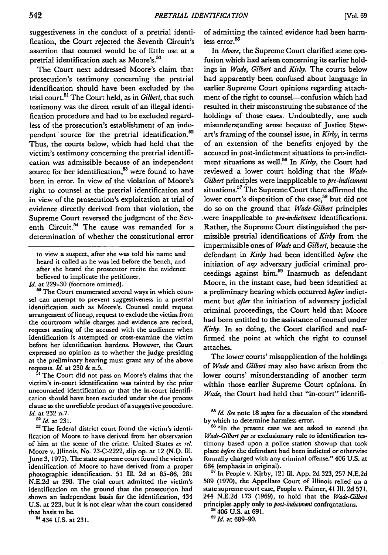suggestiveness in the conduct of a pretrial identification, the Court rejected the Seventh Circuit's assertion that counsel would be of little use at a pretrial identification such as Moore's.<sup>50</sup>

The Court next addressed Moore's claim that prosecution's testimony concerning the pretrial identification should have been excluded by the trial court.<sup>51</sup> The Court held, as in *Gilbert*, that such testimony was the direct result of an illegal identification procedure and had to be excluded regardless of the prosecution's establishment of an independent source for the pretrial identification.<sup>52</sup> Thus, the courts below, which had held that the victim's testimony concerning the pretrial identification was admissible because of an independent source for her identification, $53$  were found to have been in error. In view of the violation of Moore's right to counsel at the pretrial identification and in view of the prosecution's exploitation at trial of evidence directly derived from that violation, the Supreme Court reversed the judgment of the Seventh Circuit.<sup>54</sup> The cause was remanded for a determination of whether the constitutional error

to view a suspect, after she was told his name and heard it called as he was led before the bench, and after she heard the prosecutor recite the evidence believed to implicate the petitioner.

Id. at 229-30 (footnote omitted).

**50** The Court enumerated several ways in which counsel can attempt to prevent suggestiveness in a pretrial identification such as Moore's. Counsel could request arrangement of lineup, request to exclude the victim from the courtroom while charges and evidence are recited, request seating of the accused with the audience when identification is attempted or cross-examine the victim before her identification hardens. However, the Court expressed no opinion as to whether the judge presiding at the preliminary hearing must grant any of the above requests. *Id.* at 230 **&** n.5. **,** The Court did not pass on Moore's claims that the

victim's in-court identification was tainted by the prior uncounseled identification or that the in-court identification should have been excluded under the due process clause as the unreliable product of a suggestive procedure. *Id.* at 232 n.7.

**" <sup>2</sup> Id.** at 231.

**53** The federal district court found the victim's identification of Moore to have derived from her observation of him at the scene of the crime. United States ex *rel.* Moore v. Illinois, No. 73-C-2222, slip op. at 12 (N.D. Ill. June **3,** 1975). The state supreme court found the victim's identification of Moore to have derived from a proper photographic identification. **51** Il1. 2d at 85-86, 281 N.E.2d at 298. The trial court admitted the victim's identification on the ground that the prosecution had shown an independent basis for the identification, 434 U.S. at 223, but it is not clear what the court considered that basis to be.

54 434 U.S. at 231.

of admitting the tainted evidence had been harmless error.<sup>55</sup>

In *Moore,* the Supreme Court clarified some confusion which had arisen concerning its earlier holdings in *Wade, Gilbert* and *Kirby.* The courts below had apparently been confused about language in earlier Supreme Court opinions regarding attachment of the right to counsel-confusion which had resulted in their misconstruing the substance of the holdings of those cases. Undoubtedly, one such misunderstanding arose because of Justice Stewart's framing of the counsel issue, in *Kirby,* in terms of an extension of the benefits enjoyed by the accused in post-indictment situations to pre-indictment situations as well.56 In *Kirby,* the Court had reviewed a lower court holding that the *Wade-*Gilbert principles were inapplicable to *pre-indictment* situations.<sup>57</sup> The Supreme Court there affirmed the lower court's disposition of the case,<sup>58</sup> but did not do so on the ground that *Wade-Gilbert* principles .were inapplicable to *pre-indictment* identifications. Rather, the Supreme Court distinguished the permissible pretrial identifications of *Kirby* from the impermissible ones of *Wade* and Gilbert, because the defendant in *Kirby* had been identified *before* the initiation of *any* adversary judicial criminal proceedings against him.59 Inasmuch as defendant Moore, in the instant case, had been identified at a preliminary hearing which occurred *before* indictment but *after* the initiation of adversary judicial criminal proceedings, the Court held that Moore had been entitled to the assistance of counsel under *Kirby.* In so doing, the Court clarified and reaffirmed the point at which the right to counsel attaches.

The lower courts' misapplication of the holdings of *Wade* and Gilbert may also have arisen from the lower courts' misunderstanding of another term within those earlier Supreme Court opinions. In *Wade,* the Court had held that "in-court" identifi-

ss **Id** *See* note **18** *supra* for a discussion of the standard **by** which to determine harmless error. **<sup>56</sup>**"In the present case we are asked to extend the

*Wade-Gilbert per se* exclusionary rule to identification testimony based upon a police station showup that took place before the defendant had been indicted or otherwise formally charged with any criminal offense." 406 U.S. at 684 (emphasis in original).

**<sup>57</sup>**In People v. Kirby, 121 **Ill.** App. **2d 323, 257** N.E.2d **589 (1970),** the Appellate Court of Illinois relied on a state supreme court case, People v. Palmer, **41111. 2d 571,** 244 N.E.2d **173** (1969), to hold that the *Wade-Gilbert* principles apply only to *post-indictment* confrontations.

**58** 406 **U.S.** at 691.

*5 <sup>9</sup> Id.* at 689-90.